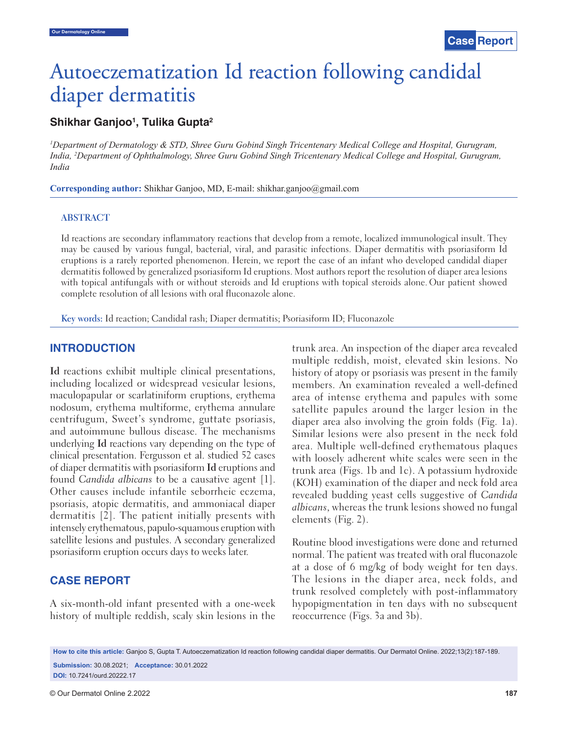# Autoeczematization Id reaction following candidal diaper dermatitis

# **Shikhar Ganjoo1 , Tulika Gupta2**

*1 Department of Dermatology & STD, Shree Guru Gobind Singh Tricentenary Medical College and Hospital, Gurugram, India, 2 Department of Ophthalmology, Shree Guru Gobind Singh Tricentenary Medical College and Hospital, Gurugram, India*

**Corresponding author:** Shikhar Ganjoo, MD, E-mail: shikhar.ganjoo@gmail.com

#### **ABSTRACT**

Id reactions are secondary inflammatory reactions that develop from a remote, localized immunological insult. They may be caused by various fungal, bacterial, viral, and parasitic infections. Diaper dermatitis with psoriasiform Id eruptions is a rarely reported phenomenon. Herein, we report the case of an infant who developed candidal diaper dermatitis followed by generalized psoriasiform Id eruptions. Most authors report the resolution of diaper area lesions with topical antifungals with or without steroids and Id eruptions with topical steroids alone. Our patient showed complete resolution of all lesions with oral fluconazole alone.

**Key words:** Id reaction; Candidal rash; Diaper dermatitis; Psoriasiform ID; Fluconazole

## **INTRODUCTION**

**Id** reactions exhibit multiple clinical presentations, including localized or widespread vesicular lesions, maculopapular or scarlatiniform eruptions, erythema nodosum, erythema multiforme, erythema annulare centrifugum, Sweet's syndrome, guttate psoriasis, and autoimmune bullous disease. The mechanisms underlying **Id** reactions vary depending on the type of clinical presentation. Fergusson et al. studied 52 cases of diaper dermatitis with psoriasiform **Id** eruptions and found *Candida albicans* to be a causative agent [1]. Other causes include infantile seborrheic eczema, psoriasis, atopic dermatitis, and ammoniacal diaper dermatitis [2]. The patient initially presents with intensely erythematous, papulo-squamous eruption with satellite lesions and pustules. A secondary generalized psoriasiform eruption occurs days to weeks later.

# **CASE REPORT**

A six-month-old infant presented with a one-week history of multiple reddish, scaly skin lesions in the trunk area. An inspection of the diaper area revealed multiple reddish, moist, elevated skin lesions. No history of atopy or psoriasis was present in the family members. An examination revealed a well-defined area of intense erythema and papules with some satellite papules around the larger lesion in the diaper area also involving the groin folds (Fig. 1a). Similar lesions were also present in the neck fold area. Multiple well-defined erythematous plaques with loosely adherent white scales were seen in the trunk area (Figs. 1b and 1c). A potassium hydroxide (KOH) examination of the diaper and neck fold area revealed budding yeast cells suggestive of *Candida albicans*, whereas the trunk lesions showed no fungal elements (Fig. 2).

Routine blood investigations were done and returned normal. The patient was treated with oral fluconazole at a dose of 6 mg/kg of body weight for ten days. The lesions in the diaper area, neck folds, and trunk resolved completely with post-inflammatory hypopigmentation in ten days with no subsequent reoccurrence (Figs. 3a and 3b).

**How to cite this article:** Ganjoo S, Gupta T. Autoeczematization Id reaction following candidal diaper dermatitis. Our Dermatol Online. 2022;13(2):187-189. **Submission:** 30.08.2021; **Acceptance:** 30.01.2022 **DOI:** 10.7241/ourd.20222.17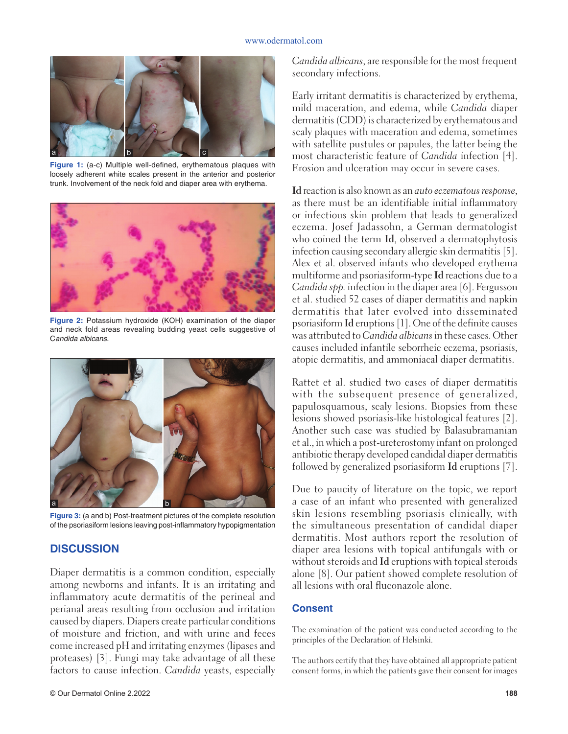#### www.odermatol.com



Figure 1: (a-c) Multiple well-defined, erythematous plaques with loosely adherent white scales present in the anterior and posterior trunk. Involvement of the neck fold and diaper area with erythema.



**Figure 2:** Potassium hydroxide (KOH) examination of the diaper and neck fold areas revealing budding yeast cells suggestive of C*andida albicans*.



**Figure 3:** (a and b) Post-treatment pictures of the complete resolution of the psoriasiform lesions leaving post-inflammatory hypopigmentation

### **DISCUSSION**

Diaper dermatitis is a common condition, especially among newborns and infants. It is an irritating and inflammatory acute dermatitis of the perineal and perianal areas resulting from occlusion and irritation caused by diapers. Diapers create particular conditions of moisture and friction, and with urine and feces come increased pH and irritating enzymes (lipases and proteases) [3]. Fungi may take advantage of all these factors to cause infection. *Candida* yeasts, especially

*Candida albicans*, are responsible for the most frequent secondary infections.

Early irritant dermatitis is characterized by erythema, mild maceration, and edema, while *Candida* diaper dermatitis (CDD) is characterized by erythematous and scaly plaques with maceration and edema, sometimes with satellite pustules or papules, the latter being the most characteristic feature of *Candida* infection [4]. Erosion and ulceration may occur in severe cases.

**Id** reaction is also known as an *auto eczematous response*, as there must be an identifiable initial inflammatory or infectious skin problem that leads to generalized eczema. Josef Jadassohn, a German dermatologist who coined the term **Id**, observed a dermatophytosis infection causing secondary allergic skin dermatitis [5]. Alex et al. observed infants who developed erythema multiforme and psoriasiform-type **Id** reactions due to a *Candida spp.* infection in the diaper area [6]. Fergusson et al. studied 52 cases of diaper dermatitis and napkin dermatitis that later evolved into disseminated psoriasiform **Id** eruptions [1]. One of the definite causes was attributed to *Candida albicans* in these cases. Other causes included infantile seborrheic eczema, psoriasis, atopic dermatitis, and ammoniacal diaper dermatitis.

Rattet et al. studied two cases of diaper dermatitis with the subsequent presence of generalized, papulosquamous, scaly lesions. Biopsies from these lesions showed psoriasis-like histological features [2]. Another such case was studied by Balasubramanian et al., in which a post-ureterostomy infant on prolonged antibiotic therapy developed candidal diaper dermatitis followed by generalized psoriasiform **Id** eruptions [7].

 Due to paucity of literature on the topic, we report a case of an infant who presented with generalized skin lesions resembling psoriasis clinically, with the simultaneous presentation of candidal diaper dermatitis. Most authors report the resolution of diaper area lesions with topical antifungals with or without steroids and **Id** eruptions with topical steroids alone [8]. Our patient showed complete resolution of all lesions with oral fluconazole alone.

## **Consent**

The examination of the patient was conducted according to the principles of the Declaration of Helsinki.

The authors certify that they have obtained all appropriate patient consent forms, in which the patients gave their consent for images